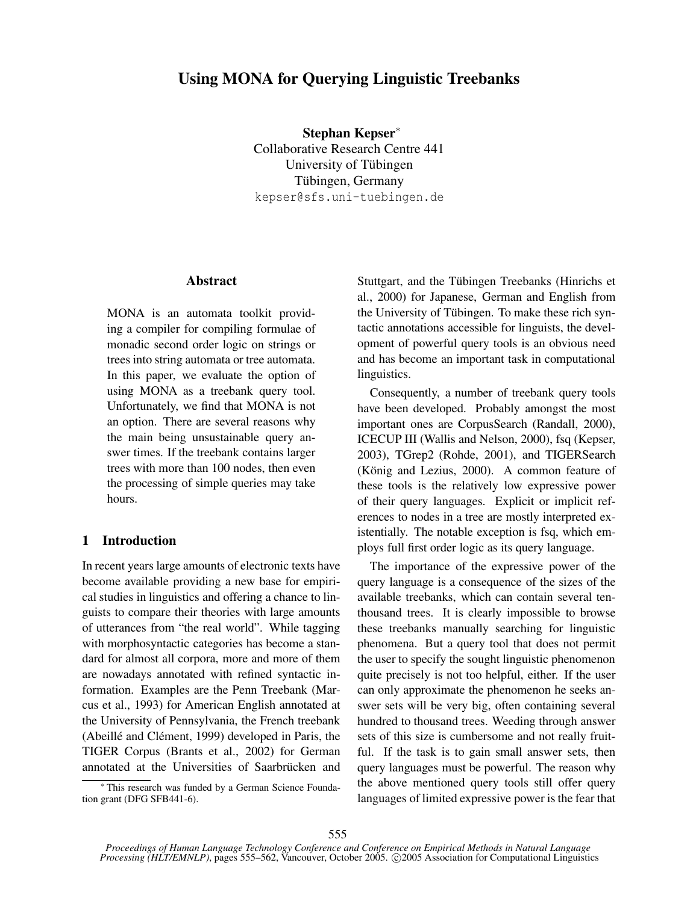# **Using MONA for Querying Linguistic Treebanks**

**Stephan Kepser**<sup>∗</sup> Collaborative Research Centre 441 University of Tübingen Tübingen, Germany kepser@sfs.uni-tuebingen.de

## **Abstract**

MONA is an automata toolkit providing a compiler for compiling formulae of monadic second order logic on strings or trees into string automata or tree automata. In this paper, we evaluate the option of using MONA as a treebank query tool. Unfortunately, we find that MONA is not an option. There are several reasons why the main being unsustainable query answer times. If the treebank contains larger trees with more than 100 nodes, then even the processing of simple queries may take hours.

# **1 Introduction**

In recent years large amounts of electronic texts have become available providing a new base for empirical studies in linguistics and offering a chance to linguists to compare their theories with large amounts of utterances from "the real world". While tagging with morphosyntactic categories has become a standard for almost all corpora, more and more of them are nowadays annotated with refined syntactic information. Examples are the Penn Treebank (Marcus et al., 1993) for American English annotated at the University of Pennsylvania, the French treebank (Abeillé and Clément, 1999) developed in Paris, the TIGER Corpus (Brants et al., 2002) for German annotated at the Universities of Saarbrücken and

Stuttgart, and the Tübingen Treebanks (Hinrichs et al., 2000) for Japanese, German and English from the University of Tübingen. To make these rich syntactic annotations accessible for linguists, the development of powerful query tools is an obvious need and has become an important task in computational linguistics.

Consequently, a number of treebank query tools have been developed. Probably amongst the most important ones are CorpusSearch (Randall, 2000), ICECUP III (Wallis and Nelson, 2000), fsq (Kepser, 2003), TGrep2 (Rohde, 2001), and TIGERSearch (König and Lezius, 2000). A common feature of these tools is the relatively low expressive power of their query languages. Explicit or implicit references to nodes in a tree are mostly interpreted existentially. The notable exception is fsq, which employs full first order logic as its query language.

The importance of the expressive power of the query language is a consequence of the sizes of the available treebanks, which can contain several tenthousand trees. It is clearly impossible to browse these treebanks manually searching for linguistic phenomena. But a query tool that does not permit the user to specify the sought linguistic phenomenon quite precisely is not too helpful, either. If the user can only approximate the phenomenon he seeks answer sets will be very big, often containing several hundred to thousand trees. Weeding through answer sets of this size is cumbersome and not really fruitful. If the task is to gain small answer sets, then query languages must be powerful. The reason why the above mentioned query tools still offer query languages of limited expressive power is the fear that

<sup>∗</sup> This research was funded by a German Science Foundation grant (DFG SFB441-6).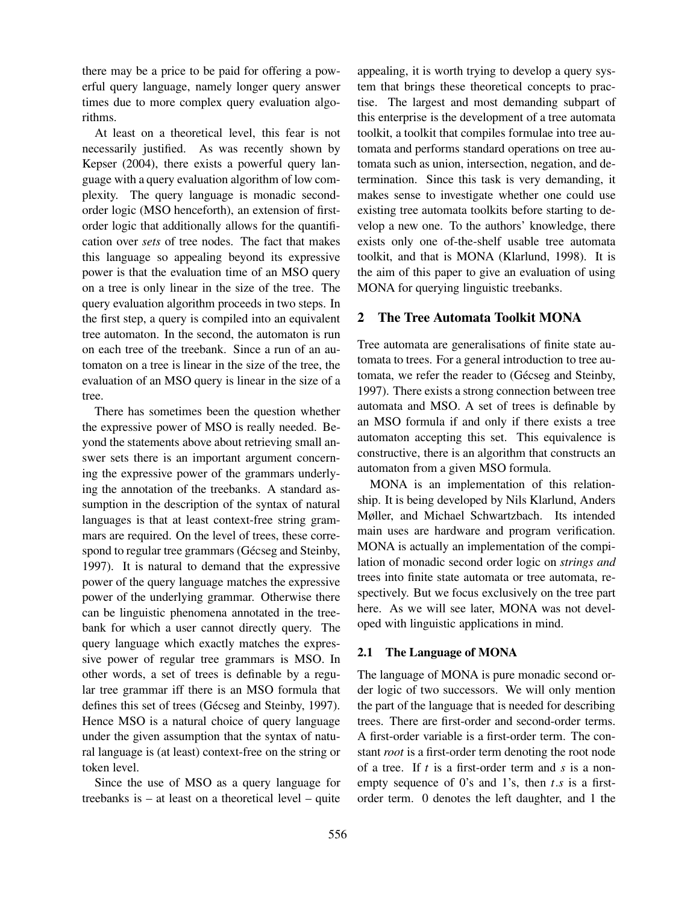there may be a price to be paid for offering a powerful query language, namely longer query answer times due to more complex query evaluation algorithms.

At least on a theoretical level, this fear is not necessarily justified. As was recently shown by Kepser (2004), there exists a powerful query language with a query evaluation algorithm of low complexity. The query language is monadic secondorder logic (MSO henceforth), an extension of firstorder logic that additionally allows for the quantification over *sets* of tree nodes. The fact that makes this language so appealing beyond its expressive power is that the evaluation time of an MSO query on a tree is only linear in the size of the tree. The query evaluation algorithm proceeds in two steps. In the first step, a query is compiled into an equivalent tree automaton. In the second, the automaton is run on each tree of the treebank. Since a run of an automaton on a tree is linear in the size of the tree, the evaluation of an MSO query is linear in the size of a tree.

There has sometimes been the question whether the expressive power of MSO is really needed. Beyond the statements above about retrieving small answer sets there is an important argument concerning the expressive power of the grammars underlying the annotation of the treebanks. A standard assumption in the description of the syntax of natural languages is that at least context-free string grammars are required. On the level of trees, these correspond to regular tree grammars (Gécseg and Steinby, 1997). It is natural to demand that the expressive power of the query language matches the expressive power of the underlying grammar. Otherwise there can be linguistic phenomena annotated in the treebank for which a user cannot directly query. The query language which exactly matches the expressive power of regular tree grammars is MSO. In other words, a set of trees is definable by a regular tree grammar iff there is an MSO formula that defines this set of trees (Gécseg and Steinby, 1997). Hence MSO is a natural choice of query language under the given assumption that the syntax of natural language is (at least) context-free on the string or token level.

Since the use of MSO as a query language for treebanks is – at least on a theoretical level – quite appealing, it is worth trying to develop a query system that brings these theoretical concepts to practise. The largest and most demanding subpart of this enterprise is the development of a tree automata toolkit, a toolkit that compiles formulae into tree automata and performs standard operations on tree automata such as union, intersection, negation, and determination. Since this task is very demanding, it makes sense to investigate whether one could use existing tree automata toolkits before starting to develop a new one. To the authors' knowledge, there exists only one of-the-shelf usable tree automata toolkit, and that is MONA (Klarlund, 1998). It is the aim of this paper to give an evaluation of using MONA for querying linguistic treebanks.

## **2 The Tree Automata Toolkit MONA**

Tree automata are generalisations of finite state automata to trees. For a general introduction to tree automata, we refer the reader to (Gécseg and Steinby, 1997). There exists a strong connection between tree automata and MSO. A set of trees is definable by an MSO formula if and only if there exists a tree automaton accepting this set. This equivalence is constructive, there is an algorithm that constructs an automaton from a given MSO formula.

MONA is an implementation of this relationship. It is being developed by Nils Klarlund, Anders Møller, and Michael Schwartzbach. Its intended main uses are hardware and program verification. MONA is actually an implementation of the compilation of monadic second order logic on *strings and* trees into finite state automata or tree automata, respectively. But we focus exclusively on the tree part here. As we will see later, MONA was not developed with linguistic applications in mind.

#### **2.1 The Language of MONA**

The language of MONA is pure monadic second order logic of two successors. We will only mention the part of the language that is needed for describing trees. There are first-order and second-order terms. A first-order variable is a first-order term. The constant *root* is a first-order term denoting the root node of a tree. If *t* is a first-order term and *s* is a nonempty sequence of 0's and 1's, then *t*.*s* is a firstorder term. 0 denotes the left daughter, and 1 the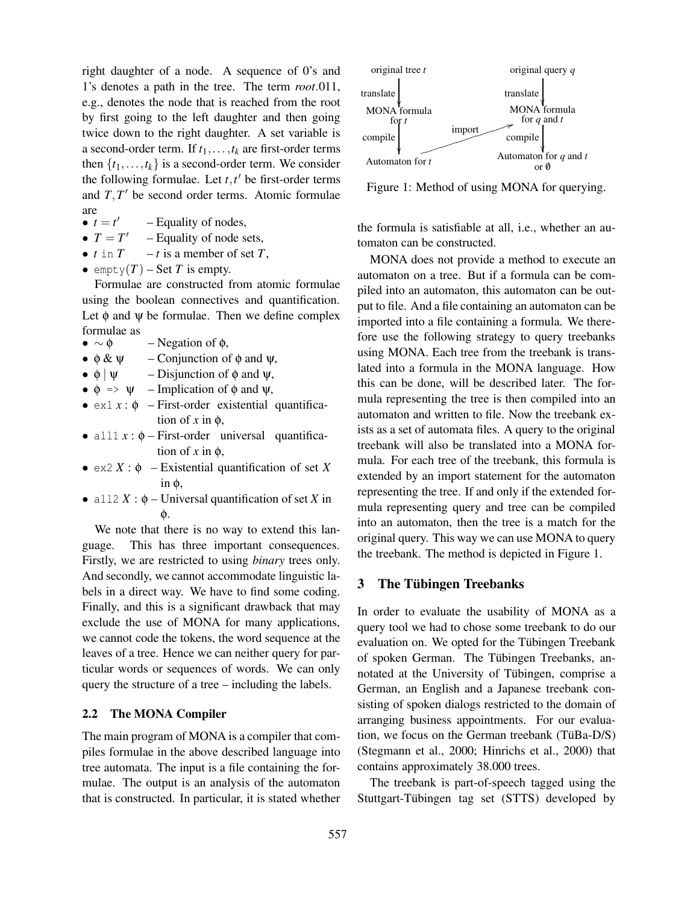right daughter of a node. A sequence of 0's and 1's denotes a path in the tree. The term *root*.011, e.g., denotes the node that is reached from the root by first going to the left daughter and then going twice down to the right daughter. A set variable is a second-order term. If  $t_1, \ldots, t_k$  are first-order terms then  $\{t_1, \ldots, t_k\}$  is a second-order term. We consider the following formulae. Let  $t, t'$  be first-order terms and  $T$ ,  $T'$  be second order terms. Atomic formulae are

- $\bullet$   $t = t'$ – Equality of nodes,
- $\bullet$   $T = T'$ – Equality of node sets,
- $t \text{ in } T t \text{ is a member of set } T$ ,
- empty $(T)$  Set *T* is empty.

Formulae are constructed from atomic formulae using the boolean connectives and quantification. Let  $\phi$  and  $\psi$  be formulae. Then we define complex formulae as

- $\bullet \sim \phi$  Negation of  $\phi$ ,
- $\phi \& \psi$  Conjunction of  $\phi$  and  $\psi$ ,
- $\phi \mid \psi$  Disjunction of  $\phi$  and  $\psi$ ,
- $\phi \Rightarrow \psi$  Implication of  $\phi$  and  $\psi$ ,
- $\bullet$  ex1  $x : \phi$  First-order existential quantification of  $x$  in  $\phi$ ,
- all $1 x : \phi$  First-order universal quantification of  $x$  in  $\phi$ ,
- $\bullet$  ex2 *X* :  $\phi$  Existential quantification of set *X* in φ,
- all2  $X : \phi$  Universal quantification of set *X* in φ.

We note that there is no way to extend this language. This has three important consequences. Firstly, we are restricted to using *binary* trees only. And secondly, we cannot accommodate linguistic labels in a direct way. We have to find some coding. Finally, and this is a significant drawback that may exclude the use of MONA for many applications, we cannot code the tokens, the word sequence at the leaves of a tree. Hence we can neither query for particular words or sequences of words. We can only query the structure of a tree – including the labels.

#### **2.2 The MONA Compiler**

The main program of MONA is a compiler that compiles formulae in the above described language into tree automata. The input is a file containing the formulae. The output is an analysis of the automaton that is constructed. In particular, it is stated whether



Figure 1: Method of using MONA for querying.

the formula is satisfiable at all, i.e., whether an automaton can be constructed.

MONA does not provide a method to execute an automaton on a tree. But if a formula can be compiled into an automaton, this automaton can be output to file. And a file containing an automaton can be imported into a file containing a formula. We therefore use the following strategy to query treebanks using MONA. Each tree from the treebank is translated into a formula in the MONA language. How this can be done, will be described later. The formula representing the tree is then compiled into an automaton and written to file. Now the treebank exists as a set of automata files. A query to the original treebank will also be translated into a MONA formula. For each tree of the treebank, this formula is extended by an import statement for the automaton representing the tree. If and only if the extended formula representing query and tree can be compiled into an automaton, then the tree is a match for the original query. This way we can use MONA to query the treebank. The method is depicted in Figure 1.

## **3 The Tubingen ¨ Treebanks**

In order to evaluate the usability of MONA as a query tool we had to chose some treebank to do our evaluation on. We opted for the Tübingen Treebank of spoken German. The Tübingen Treebanks, annotated at the University of Tübingen, comprise a German, an English and a Japanese treebank consisting of spoken dialogs restricted to the domain of arranging business appointments. For our evaluation, we focus on the German treebank (TüBa-D/S) (Stegmann et al., 2000; Hinrichs et al., 2000) that contains approximately 38.000 trees.

The treebank is part-of-speech tagged using the Stuttgart-Tübingen tag set (STTS) developed by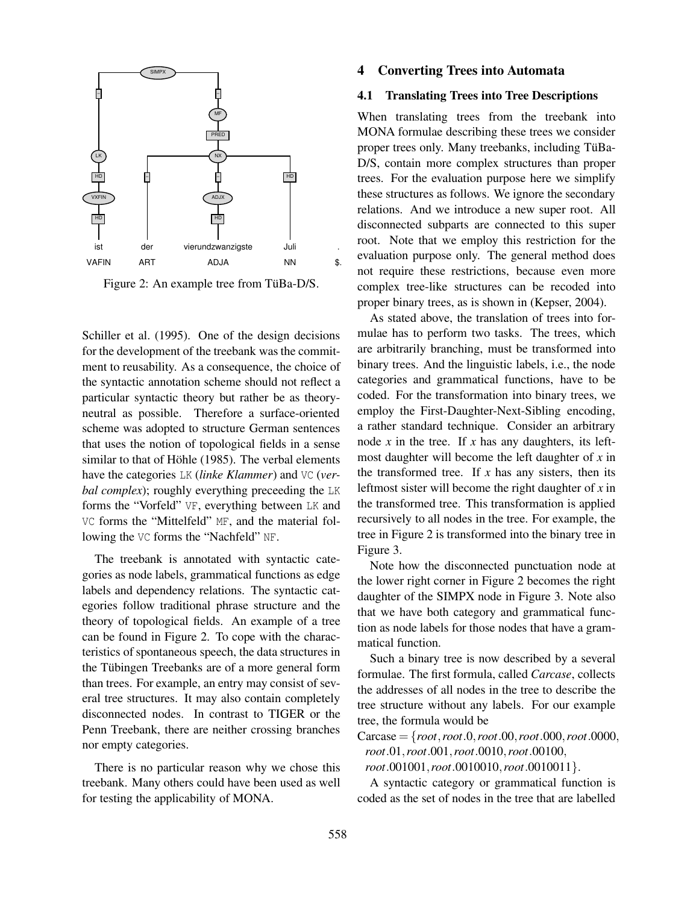

Figure 2: An example tree from TüBa-D/S.

Schiller et al. (1995). One of the design decisions for the development of the treebank was the commitment to reusability. As a consequence, the choice of the syntactic annotation scheme should not reflect a particular syntactic theory but rather be as theoryneutral as possible. Therefore a surface-oriented scheme was adopted to structure German sentences that uses the notion of topological fields in a sense similar to that of Höhle (1985). The verbal elements have the categories LK (*linke Klammer*) and VC (*verbal complex*); roughly everything preceeding the LK forms the "Vorfeld" VF, everything between LK and VC forms the "Mittelfeld" MF, and the material following the VC forms the "Nachfeld" NF.

The treebank is annotated with syntactic categories as node labels, grammatical functions as edge labels and dependency relations. The syntactic categories follow traditional phrase structure and the theory of topological fields. An example of a tree can be found in Figure 2. To cope with the characteristics of spontaneous speech, the data structures in the Tübingen Treebanks are of a more general form than trees. For example, an entry may consist of several tree structures. It may also contain completely disconnected nodes. In contrast to TIGER or the Penn Treebank, there are neither crossing branches nor empty categories.

There is no particular reason why we chose this treebank. Many others could have been used as well for testing the applicability of MONA.

# **4 Converting Trees into Automata**

#### **4.1 Translating Trees into Tree Descriptions**

When translating trees from the treebank into MONA formulae describing these trees we consider proper trees only. Many treebanks, including TüBa-D/S, contain more complex structures than proper trees. For the evaluation purpose here we simplify these structures as follows. We ignore the secondary relations. And we introduce a new super root. All disconnected subparts are connected to this super root. Note that we employ this restriction for the evaluation purpose only. The general method does not require these restrictions, because even more complex tree-like structures can be recoded into proper binary trees, as is shown in (Kepser, 2004).

As stated above, the translation of trees into formulae has to perform two tasks. The trees, which are arbitrarily branching, must be transformed into binary trees. And the linguistic labels, i.e., the node categories and grammatical functions, have to be coded. For the transformation into binary trees, we employ the First-Daughter-Next-Sibling encoding, a rather standard technique. Consider an arbitrary node *x* in the tree. If *x* has any daughters, its leftmost daughter will become the left daughter of *x* in the transformed tree. If  $x$  has any sisters, then its leftmost sister will become the right daughter of *x* in the transformed tree. This transformation is applied recursively to all nodes in the tree. For example, the tree in Figure 2 is transformed into the binary tree in Figure 3.

Note how the disconnected punctuation node at the lower right corner in Figure 2 becomes the right daughter of the SIMPX node in Figure 3. Note also that we have both category and grammatical function as node labels for those nodes that have a grammatical function.

Such a binary tree is now described by a several formulae. The first formula, called *Carcase*, collects the addresses of all nodes in the tree to describe the tree structure without any labels. For our example tree, the formula would be

Carcase = {*root*,*root*.0,*root*.00,*root*.000,*root*.0000, *root*.01,*root*.001,*root*.0010,*root*.00100,

*root*.001001,*root*.0010010,*root*.0010011}.

A syntactic category or grammatical function is coded as the set of nodes in the tree that are labelled

.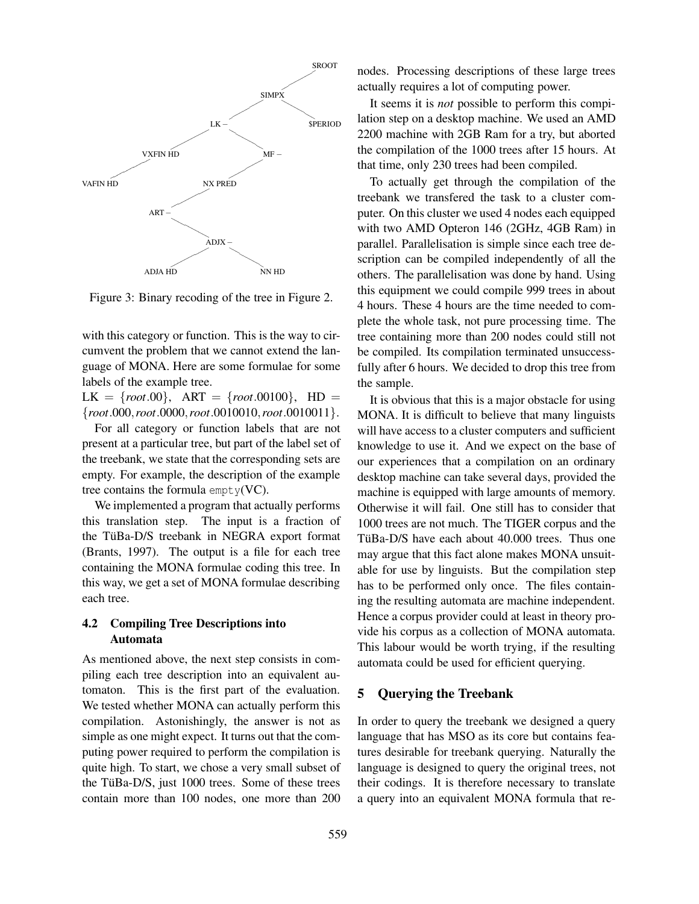

Figure 3: Binary recoding of the tree in Figure 2.

with this category or function. This is the way to circumvent the problem that we cannot extend the language of MONA. Here are some formulae for some labels of the example tree.

 $LK = \{root.00\}$ ,  $ART = \{root.00100\}$ ,  $HD =$ {*root*.000,*root*.0000,*root*.0010010,*root*.0010011}.

For all category or function labels that are not present at a particular tree, but part of the label set of the treebank, we state that the corresponding sets are empty. For example, the description of the example tree contains the formula  $\text{empty}(VC)$ .

We implemented a program that actually performs this translation step. The input is a fraction of the TüBa-D/S treebank in NEGRA export format (Brants, 1997). The output is a file for each tree containing the MONA formulae coding this tree. In this way, we get a set of MONA formulae describing each tree.

## **4.2 Compiling Tree Descriptions into Automata**

As mentioned above, the next step consists in compiling each tree description into an equivalent automaton. This is the first part of the evaluation. We tested whether MONA can actually perform this compilation. Astonishingly, the answer is not as simple as one might expect. It turns out that the computing power required to perform the compilation is quite high. To start, we chose a very small subset of the TüBa-D/S, just  $1000$  trees. Some of these trees contain more than 100 nodes, one more than 200 nodes. Processing descriptions of these large trees actually requires a lot of computing power.

It seems it is *not* possible to perform this compilation step on a desktop machine. We used an AMD 2200 machine with 2GB Ram for a try, but aborted the compilation of the 1000 trees after 15 hours. At that time, only 230 trees had been compiled.

To actually get through the compilation of the treebank we transfered the task to a cluster computer. On this cluster we used 4 nodes each equipped with two AMD Opteron 146 (2GHz, 4GB Ram) in parallel. Parallelisation is simple since each tree description can be compiled independently of all the others. The parallelisation was done by hand. Using this equipment we could compile 999 trees in about 4 hours. These 4 hours are the time needed to complete the whole task, not pure processing time. The tree containing more than 200 nodes could still not be compiled. Its compilation terminated unsuccessfully after 6 hours. We decided to drop this tree from the sample.

It is obvious that this is a major obstacle for using MONA. It is difficult to believe that many linguists will have access to a cluster computers and sufficient knowledge to use it. And we expect on the base of our experiences that a compilation on an ordinary desktop machine can take several days, provided the machine is equipped with large amounts of memory. Otherwise it will fail. One still has to consider that 1000 trees are not much. The TIGER corpus and the TüBa-D/S have each about 40.000 trees. Thus one may argue that this fact alone makes MONA unsuitable for use by linguists. But the compilation step has to be performed only once. The files containing the resulting automata are machine independent. Hence a corpus provider could at least in theory provide his corpus as a collection of MONA automata. This labour would be worth trying, if the resulting automata could be used for efficient querying.

## **5 Querying the Treebank**

In order to query the treebank we designed a query language that has MSO as its core but contains features desirable for treebank querying. Naturally the language is designed to query the original trees, not their codings. It is therefore necessary to translate a query into an equivalent MONA formula that re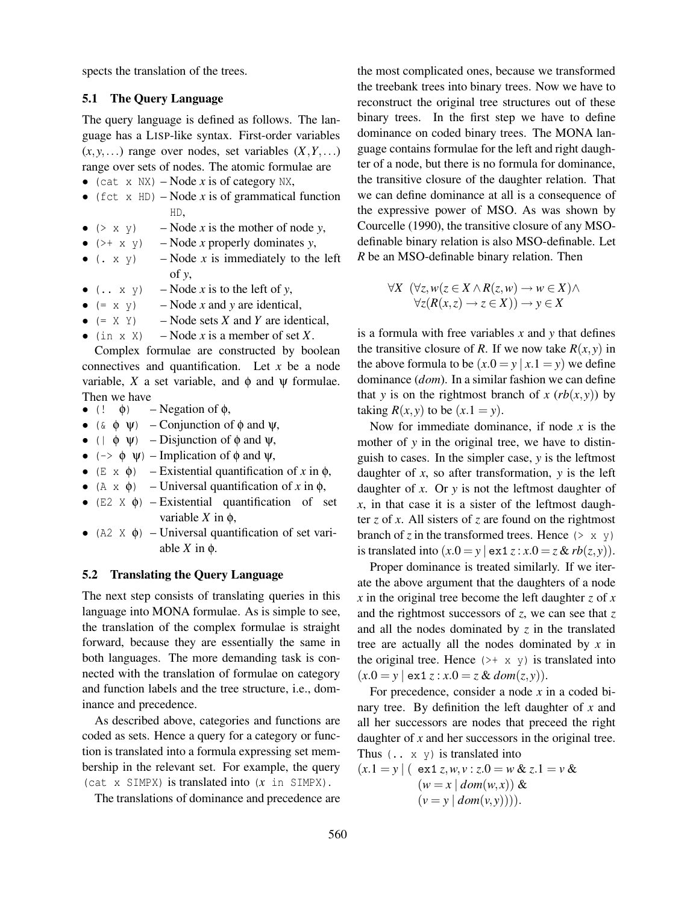spects the translation of the trees.

#### **5.1 The Query Language**

The query language is defined as follows. The language has a LISP-like syntax. First-order variables  $(x, y, \ldots)$  range over nodes, set variables  $(X, Y, \ldots)$ range over sets of nodes. The atomic formulae are

- (cat  $x$  NX) Node  $x$  is of category NX,
- (fct  $x$  HD) Node  $x$  is of grammatical function HD,
- $(\geq x \leq y)$  Node *x* is the mother of node *y*,
- $(\rightarrow + \times \gamma)$  Node *x* properly dominates *y*,
- $(x \times y)$  Node *x* is immediately to the left of *y*,
- $(x, x, y)$  Node *x* is to the left of *y*,
- $(= x \, y)$  Node *x* and *y* are identical,
- $(= X Y)$  Node sets *X* and *Y* are identical,
- (in  $x \times$ ) Node *x* is a member of set *X*.

Complex formulae are constructed by boolean connectives and quantification. Let *x* be a node variable, *X* a set variable, and  $\phi$  and  $\psi$  formulae.

- Then we have<br>  $\bullet$  (!  $\phi$ )  $-$  Negation of  $\phi$ ,
- ( $\&$   $\phi$   $\psi$ ) Conjunction of  $\phi$  and  $\psi$ ,
- ( $|\phi \psi\rangle$  Disjunction of  $\phi$  and  $\psi$ ,
- ( $\rightarrow \phi \psi$ ) Implication of  $\phi$  and  $\psi$ ,
- (E x  $\phi$ ) Existential quantification of x in  $\phi$ ,
- (A x  $\phi$ ) Universal quantification of x in  $\phi$ ,
- (E2 X  $\phi$ ) Existential quantification of set variable *X* in φ,
- (A2  $\times$   $\phi$ ) Universal quantification of set variable  $X$  in  $φ$ .

# **5.2 Translating the Query Language**

The next step consists of translating queries in this language into MONA formulae. As is simple to see, the translation of the complex formulae is straight forward, because they are essentially the same in both languages. The more demanding task is connected with the translation of formulae on category and function labels and the tree structure, i.e., dominance and precedence.

As described above, categories and functions are coded as sets. Hence a query for a category or function is translated into a formula expressing set membership in the relevant set. For example, the query (cat x SIMPX) is translated into (*x* in SIMPX).

The translations of dominance and precedence are

the most complicated ones, because we transformed the treebank trees into binary trees. Now we have to reconstruct the original tree structures out of these binary trees. In the first step we have to define dominance on coded binary trees. The MONA language contains formulae for the left and right daughter of a node, but there is no formula for dominance, the transitive closure of the daughter relation. That we can define dominance at all is a consequence of the expressive power of MSO. As was shown by Courcelle (1990), the transitive closure of any MSOdefinable binary relation is also MSO-definable. Let *R* be an MSO-definable binary relation. Then

$$
\forall X \ (\forall z, w(z \in X \land R(z, w) \to w \in X) \land \forall z (R(x, z) \to z \in X)) \to y \in X
$$

is a formula with free variables *x* and *y* that defines the transitive closure of *R*. If we now take  $R(x, y)$  in the above formula to be  $(x.0 = y | x.1 = y)$  we define dominance (*dom*). In a similar fashion we can define that *y* is on the rightmost branch of *x* ( $rb(x, y)$ ) by taking  $R(x, y)$  to be  $(x.1 = y)$ .

Now for immediate dominance, if node *x* is the mother of *y* in the original tree, we have to distinguish to cases. In the simpler case, *y* is the leftmost daughter of  $x$ , so after transformation,  $y$  is the left daughter of *x*. Or *y* is not the leftmost daughter of *x*, in that case it is a sister of the leftmost daughter *z* of *x*. All sisters of *z* are found on the rightmost branch of *z* in the transformed trees. Hence  $(2 \times y)$ is translated into  $(x.0 = y \mid \text{ex1 } z : x.0 = z \& rb(z, y)).$ 

Proper dominance is treated similarly. If we iterate the above argument that the daughters of a node  $\chi$  in the original tree become the left daughter  $\chi$  of  $\chi$ and the rightmost successors of *z*, we can see that *z* and all the nodes dominated by *z* in the translated tree are actually all the nodes dominated by *x* in the original tree. Hence  $(\rightarrow + \times \gamma)$  is translated into  $(x.0 = y \mid ext z : x.0 = z \& dom(z, y)).$ 

For precedence, consider a node *x* in a coded binary tree. By definition the left daughter of *x* and all her successors are nodes that preceed the right daughter of *x* and her successors in the original tree. Thus  $(x, x, y)$  is translated into

$$
(x.1 = y | (ex1 z, w, v : z.0 = w & z.1 = v & w(w = x | dom(w, x)) & w(v = y | dom(v, y)))).
$$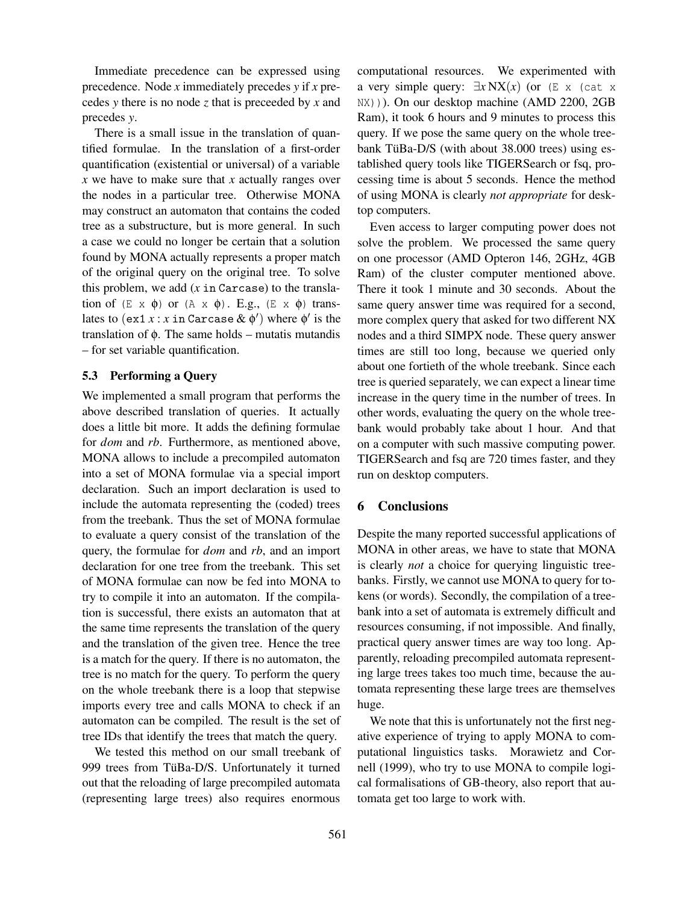Immediate precedence can be expressed using precedence. Node *x* immediately precedes *y* if *x* precedes *y* there is no node *z* that is preceeded by *x* and precedes *y*.

There is a small issue in the translation of quantified formulae. In the translation of a first-order quantification (existential or universal) of a variable *x* we have to make sure that *x* actually ranges over the nodes in a particular tree. Otherwise MONA may construct an automaton that contains the coded tree as a substructure, but is more general. In such a case we could no longer be certain that a solution found by MONA actually represents a proper match of the original query on the original tree. To solve this problem, we add (*x* in Carcase) to the translation of  $(E \times \phi)$  or  $(A \times \phi)$ . E.g.,  $(E \times \phi)$  translates to  $(\text{ex}1 x : x \text{ in } \text{Carcase} \& \phi')$  where  $\phi'$  is the translation of φ. The same holds – mutatis mutandis – for set variable quantification.

# **5.3 Performing a Query**

We implemented a small program that performs the above described translation of queries. It actually does a little bit more. It adds the defining formulae for *dom* and *rb*. Furthermore, as mentioned above, MONA allows to include a precompiled automaton into a set of MONA formulae via a special import declaration. Such an import declaration is used to include the automata representing the (coded) trees from the treebank. Thus the set of MONA formulae to evaluate a query consist of the translation of the query, the formulae for *dom* and *rb*, and an import declaration for one tree from the treebank. This set of MONA formulae can now be fed into MONA to try to compile it into an automaton. If the compilation is successful, there exists an automaton that at the same time represents the translation of the query and the translation of the given tree. Hence the tree is a match for the query. If there is no automaton, the tree is no match for the query. To perform the query on the whole treebank there is a loop that stepwise imports every tree and calls MONA to check if an automaton can be compiled. The result is the set of tree IDs that identify the trees that match the query.

We tested this method on our small treebank of 999 trees from TüBa-D/S. Unfortunately it turned out that the reloading of large precompiled automata (representing large trees) also requires enormous

computational resources. We experimented with a very simple query:  $\exists x \mathbf{N} \mathbf{X}(x)$  (or  $(\mathbb{E} \times \mathbb{C} \mathbb{Z})$  at x NX))). On our desktop machine (AMD 2200, 2GB Ram), it took 6 hours and 9 minutes to process this query. If we pose the same query on the whole treebank TüBa-D/S (with about 38.000 trees) using established query tools like TIGERSearch or fsq, processing time is about 5 seconds. Hence the method of using MONA is clearly *not appropriate* for desktop computers.

Even access to larger computing power does not solve the problem. We processed the same query on one processor (AMD Opteron 146, 2GHz, 4GB Ram) of the cluster computer mentioned above. There it took 1 minute and 30 seconds. About the same query answer time was required for a second, more complex query that asked for two different NX nodes and a third SIMPX node. These query answer times are still too long, because we queried only about one fortieth of the whole treebank. Since each tree is queried separately, we can expect a linear time increase in the query time in the number of trees. In other words, evaluating the query on the whole treebank would probably take about 1 hour. And that on a computer with such massive computing power. TIGERSearch and fsq are 720 times faster, and they run on desktop computers.

# **6 Conclusions**

Despite the many reported successful applications of MONA in other areas, we have to state that MONA is clearly *not* a choice for querying linguistic treebanks. Firstly, we cannot use MONA to query for tokens (or words). Secondly, the compilation of a treebank into a set of automata is extremely difficult and resources consuming, if not impossible. And finally, practical query answer times are way too long. Apparently, reloading precompiled automata representing large trees takes too much time, because the automata representing these large trees are themselves huge.

We note that this is unfortunately not the first negative experience of trying to apply MONA to computational linguistics tasks. Morawietz and Cornell (1999), who try to use MONA to compile logical formalisations of GB-theory, also report that automata get too large to work with.